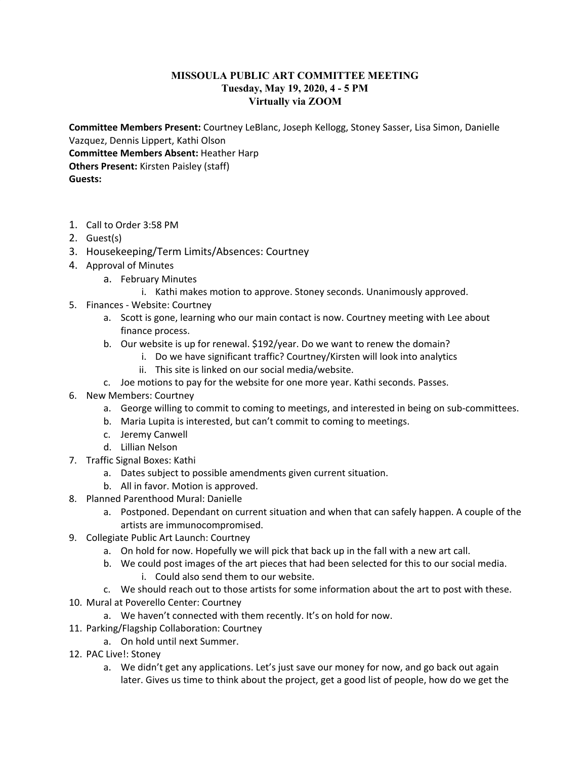## **MISSOULA PUBLIC ART COMMITTEE MEETING Tuesday, May 19, 2020, 4 - 5 PM Virtually via ZOOM**

**Committee Members Present:** Courtney LeBlanc, Joseph Kellogg, Stoney Sasser, Lisa Simon, Danielle Vazquez, Dennis Lippert, Kathi Olson **Committee Members Absent:** Heather Harp **Others Present:** Kirsten Paisley (staff) **Guests:**

- 1. Call to Order 3:58 PM
- 2. Guest(s)
- 3. Housekeeping/Term Limits/Absences: Courtney
- 4. Approval of Minutes
	- a. February Minutes
		- i. Kathi makes motion to approve. Stoney seconds. Unanimously approved.
- 5. Finances Website: Courtney
	- a. Scott is gone, learning who our main contact is now. Courtney meeting with Lee about finance process.
	- b. Our website is up for renewal. \$192/year. Do we want to renew the domain?
		- i. Do we have significant traffic? Courtney/Kirsten will look into analytics
		- ii. This site is linked on our social media/website.
	- c. Joe motions to pay for the website for one more year. Kathi seconds. Passes.
- 6. New Members: Courtney
	- a. George willing to commit to coming to meetings, and interested in being on sub-committees.
	- b. Maria Lupita is interested, but can't commit to coming to meetings.
	- c. Jeremy Canwell
	- d. Lillian Nelson
- 7. Traffic Signal Boxes: Kathi
	- a. Dates subject to possible amendments given current situation.
	- b. All in favor. Motion is approved.
- 8. Planned Parenthood Mural: Danielle
	- a. Postponed. Dependant on current situation and when that can safely happen. A couple of the artists are immunocompromised.
- 9. Collegiate Public Art Launch: Courtney
	- a. On hold for now. Hopefully we will pick that back up in the fall with a new art call.
	- b. We could post images of the art pieces that had been selected for this to our social media.
		- i. Could also send them to our website.
	- c. We should reach out to those artists for some information about the art to post with these.
- 10. Mural at Poverello Center: Courtney
	- a. We haven't connected with them recently. It's on hold for now.
- 11. Parking/Flagship Collaboration: Courtney
	- a. On hold until next Summer.
- 12. PAC Live!: Stoney
	- a. We didn't get any applications. Let's just save our money for now, and go back out again later. Gives us time to think about the project, get a good list of people, how do we get the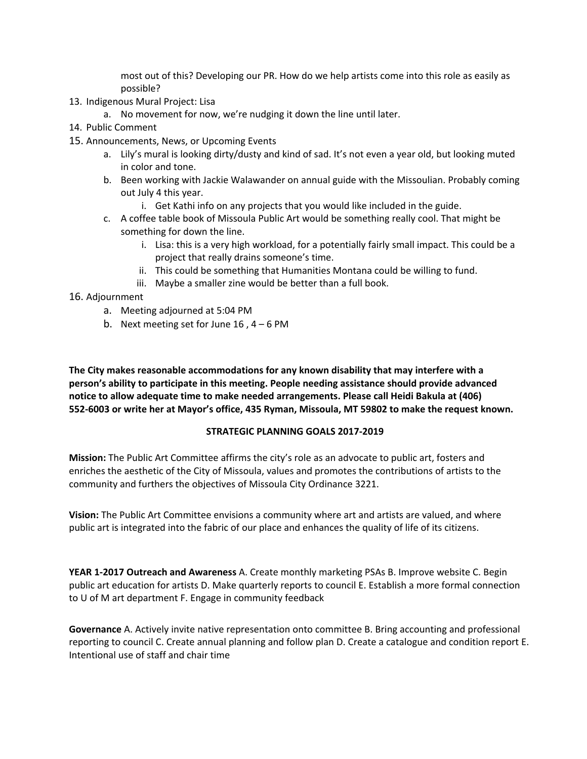most out of this? Developing our PR. How do we help artists come into this role as easily as possible?

- 13. Indigenous Mural Project: Lisa
	- a. No movement for now, we're nudging it down the line until later.
- 14. Public Comment
- 15. Announcements, News, or Upcoming Events
	- a. Lily's mural is looking dirty/dusty and kind of sad. It's not even a year old, but looking muted in color and tone.
	- b. Been working with Jackie Walawander on annual guide with the Missoulian. Probably coming out July 4 this year.
		- i. Get Kathi info on any projects that you would like included in the guide.
	- c. A coffee table book of Missoula Public Art would be something really cool. That might be something for down the line.
		- i. Lisa: this is a very high workload, for a potentially fairly small impact. This could be a project that really drains someone's time.
		- ii. This could be something that Humanities Montana could be willing to fund.
		- iii. Maybe a smaller zine would be better than a full book.

## 16. Adjournment

- a. Meeting adjourned at 5:04 PM
- b. Next meeting set for June  $16$ ,  $4 6$  PM

**The City makes reasonable accommodations for any known disability that may interfere with a person's ability to participate in this meeting. People needing assistance should provide advanced notice to allow adequate time to make needed arrangements. Please call Heidi Bakula at (406) 552-6003 or write her at Mayor's office, 435 Ryman, Missoula, MT 59802 to make the request known.**

## **STRATEGIC PLANNING GOALS 2017-2019**

**Mission:** The Public Art Committee affirms the city's role as an advocate to public art, fosters and enriches the aesthetic of the City of Missoula, values and promotes the contributions of artists to the community and furthers the objectives of Missoula City Ordinance 3221.

**Vision:** The Public Art Committee envisions a community where art and artists are valued, and where public art is integrated into the fabric of our place and enhances the quality of life of its citizens.

**YEAR 1-2017 Outreach and Awareness** A. Create monthly marketing PSAs B. Improve website C. Begin public art education for artists D. Make quarterly reports to council E. Establish a more formal connection to U of M art department F. Engage in community feedback

**Governance** A. Actively invite native representation onto committee B. Bring accounting and professional reporting to council C. Create annual planning and follow plan D. Create a catalogue and condition report E. Intentional use of staff and chair time